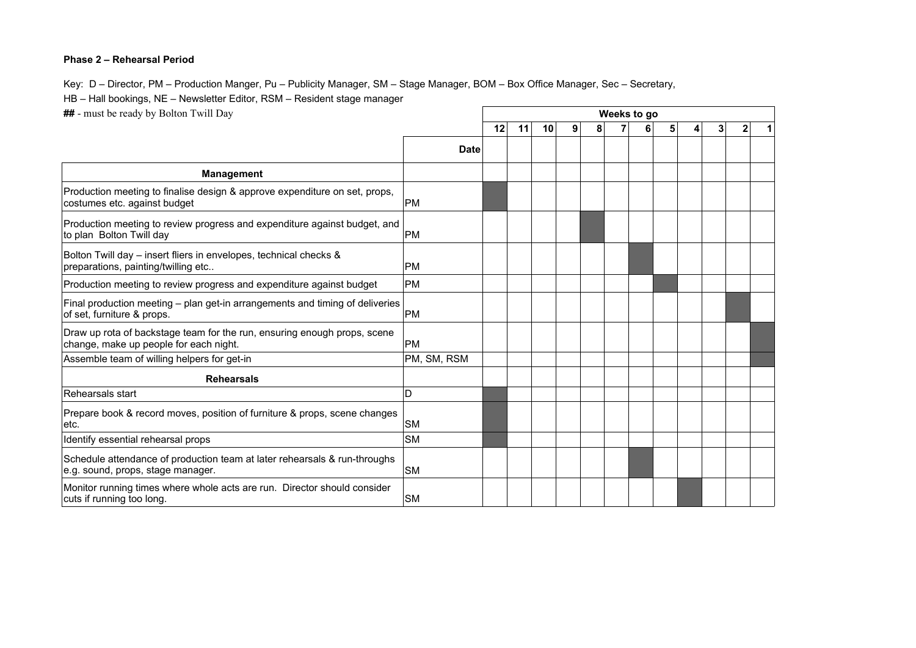## **Phase 2 – Rehearsal Period**

Key: D – Director, PM – Production Manger, Pu – Publicity Manager, SM – Stage Manager, BOM – Box Office Manager, Sec – Secretary,

HB – Hall bookings, NE – Newsletter Editor, RSM – Resident stage manager

**##** - must be ready by Bolton Twill Day

| <b>##</b> - must be ready by Bolton Twill Day                                                                      |             | Weeks to go |    |    |   |   |  |   |    |  |   |                |   |  |
|--------------------------------------------------------------------------------------------------------------------|-------------|-------------|----|----|---|---|--|---|----|--|---|----------------|---|--|
|                                                                                                                    |             | 12          | 11 | 10 | 9 | 8 |  | 6 | 51 |  | 4 | 3 <sup>1</sup> | 2 |  |
|                                                                                                                    | <b>Date</b> |             |    |    |   |   |  |   |    |  |   |                |   |  |
| <b>Management</b>                                                                                                  |             |             |    |    |   |   |  |   |    |  |   |                |   |  |
| Production meeting to finalise design & approve expenditure on set, props,<br>costumes etc. against budget         | <b>PM</b>   |             |    |    |   |   |  |   |    |  |   |                |   |  |
| Production meeting to review progress and expenditure against budget, and<br>to plan Bolton Twill day              | <b>PM</b>   |             |    |    |   |   |  |   |    |  |   |                |   |  |
| Bolton Twill day - insert fliers in envelopes, technical checks &<br>preparations, painting/twilling etc           | <b>PM</b>   |             |    |    |   |   |  |   |    |  |   |                |   |  |
| Production meeting to review progress and expenditure against budget                                               | <b>PM</b>   |             |    |    |   |   |  |   |    |  |   |                |   |  |
| Final production meeting – plan get-in arrangements and timing of deliveries<br>of set, furniture & props.         | PM          |             |    |    |   |   |  |   |    |  |   |                |   |  |
| Draw up rota of backstage team for the run, ensuring enough props, scene<br>change, make up people for each night. | <b>PM</b>   |             |    |    |   |   |  |   |    |  |   |                |   |  |
| Assemble team of willing helpers for get-in                                                                        | PM, SM, RSM |             |    |    |   |   |  |   |    |  |   |                |   |  |
| <b>Rehearsals</b>                                                                                                  |             |             |    |    |   |   |  |   |    |  |   |                |   |  |
| Rehearsals start                                                                                                   | D           |             |    |    |   |   |  |   |    |  |   |                |   |  |
| Prepare book & record moves, position of furniture & props, scene changes<br>etc.                                  | <b>SM</b>   |             |    |    |   |   |  |   |    |  |   |                |   |  |
| Identify essential rehearsal props                                                                                 | <b>SM</b>   |             |    |    |   |   |  |   |    |  |   |                |   |  |
| Schedule attendance of production team at later rehearsals & run-throughs<br>e.g. sound, props, stage manager.     | <b>SM</b>   |             |    |    |   |   |  |   |    |  |   |                |   |  |
| Monitor running times where whole acts are run. Director should consider<br>cuts if running too long.              | <b>SM</b>   |             |    |    |   |   |  |   |    |  |   |                |   |  |

 $\Gamma$